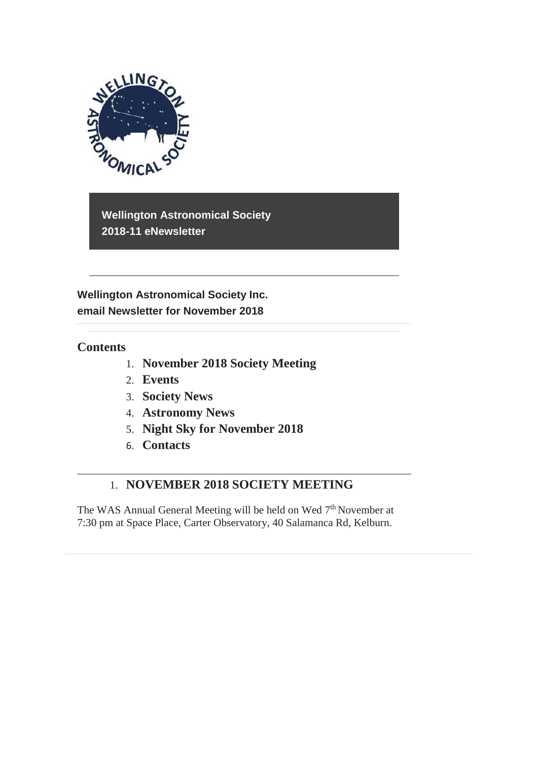

**Wellington Astronomical Society 2018-11 eNewsletter**

**Wellington Astronomical Society Inc. email Newsletter for November 2018** 

## **Contents**

- 1. **November 2018 Society Meeting**
- 2. **Events**
- 3. **Society News**
- 4. **Astronomy News**
- 5. **Night Sky for November 2018**
- 6. **Contacts**

# 1. **NOVEMBER 2018 SOCIETY MEETING**

The WAS Annual General Meeting will be held on Wed 7<sup>th</sup> November at 7:30 pm at Space Place, Carter Observatory, 40 Salamanca Rd, Kelburn.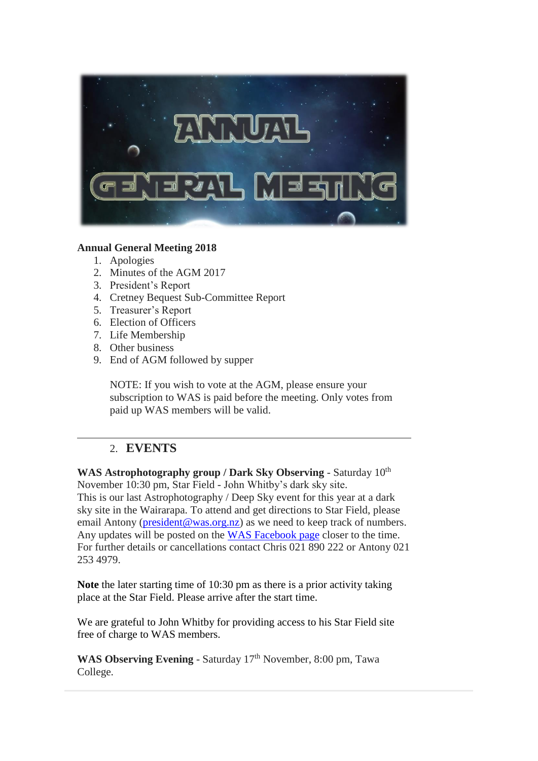

### **Annual General Meeting 2018**

- 1. Apologies
- 2. Minutes of the AGM 2017
- 3. President's Report
- 4. Cretney Bequest Sub-Committee Report
- 5. Treasurer's Report
- 6. Election of Officers
- 7. Life Membership
- 8. Other business
- 9. End of AGM followed by supper

NOTE: If you wish to vote at the AGM, please ensure your subscription to WAS is paid before the meeting. Only votes from paid up WAS members will be valid.

## 2. **EVENTS**

WAS Astrophotography group / Dark Sky Observing - Saturday  $10^{th}$ November 10:30 pm, Star Field - John Whitby's dark sky site. This is our last Astrophotography / Deep Sky event for this year at a dark sky site in the Wairarapa. To attend and get directions to Star Field, please email Antony [\(president@was.org.nz\)](mailto:president@was.org.nz) as we need to keep track of numbers. Any updates will be posted on the [WAS Facebook page](https://www.facebook.com/WellingtonAstronomicalSociety/) closer to the time. For further details or cancellations contact Chris 021 890 222 or Antony 021 253 4979.

**Note** the later starting time of 10:30 pm as there is a prior activity taking place at the Star Field. Please arrive after the start time.

We are grateful to John Whitby for providing access to his Star Field site free of charge to WAS members.

WAS Observing Evening - Saturday 17<sup>th</sup> November, 8:00 pm, Tawa College.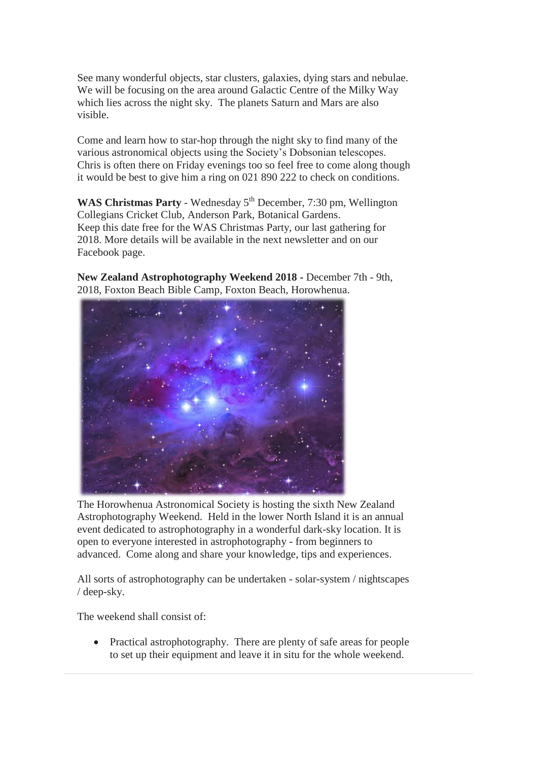See many wonderful objects, star clusters, galaxies, dying stars and nebulae. We will be focusing on the area around Galactic Centre of the Milky Way which lies across the night sky. The planets Saturn and Mars are also visible.

Come and learn how to star-hop through the night sky to find many of the various astronomical objects using the Society's Dobsonian telescopes. Chris is often there on Friday evenings too so feel free to come along though it would be best to give him a ring on 021 890 222 to check on conditions.

WAS Christmas Party - Wednesday 5<sup>th</sup> December, 7:30 pm, Wellington Collegians Cricket Club, Anderson Park, Botanical Gardens. Keep this date free for the WAS Christmas Party, our last gathering for 2018. More details will be available in the next newsletter and on our Facebook page.

**New Zealand Astrophotography Weekend 2018 -** December 7th - 9th, 2018, Foxton Beach Bible Camp, Foxton Beach, Horowhenua.



The Horowhenua Astronomical Society is hosting the sixth New Zealand Astrophotography Weekend. Held in the lower North Island it is an annual event dedicated to astrophotography in a wonderful dark-sky location. It is open to everyone interested in astrophotography - from beginners to advanced. Come along and share your knowledge, tips and experiences.

All sorts of astrophotography can be undertaken - solar-system / nightscapes / deep-sky.

The weekend shall consist of:

• Practical astrophotography. There are plenty of safe areas for people to set up their equipment and leave it in situ for the whole weekend.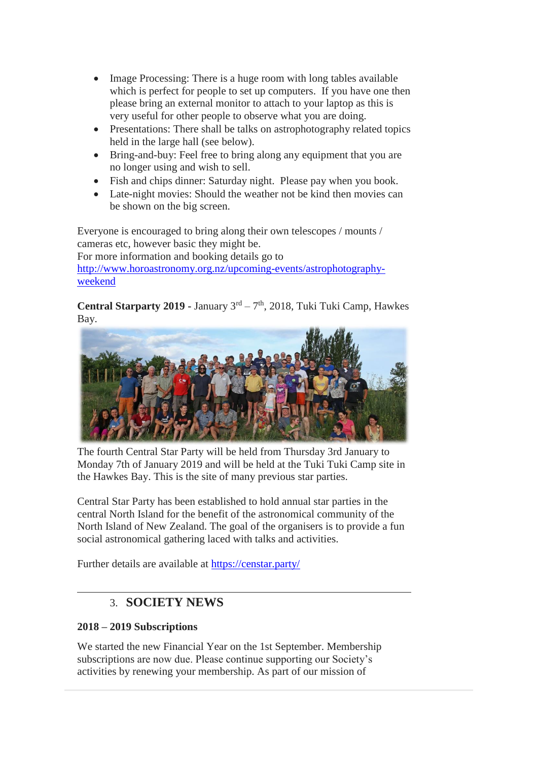- Image Processing: There is a huge room with long tables available which is perfect for people to set up computers. If you have one then please bring an external monitor to attach to your laptop as this is very useful for other people to observe what you are doing.
- Presentations: There shall be talks on astrophotography related topics held in the large hall (see below).
- Bring-and-buy: Feel free to bring along any equipment that you are no longer using and wish to sell.
- Fish and chips dinner: Saturday night. Please pay when you book.
- Late-night movies: Should the weather not be kind then movies can be shown on the big screen.

Everyone is encouraged to bring along their own telescopes / mounts / cameras etc, however basic they might be. For more information and booking details go to [http://www.horoastronomy.org.nz/upcoming-events/astrophotography](http://www.horoastronomy.org.nz/upcoming-events/astrophotography-weekend)[weekend](http://www.horoastronomy.org.nz/upcoming-events/astrophotography-weekend)

Central Starparty 2019 - January 3<sup>rd</sup> – 7<sup>th</sup>, 2018, Tuki Tuki Camp, Hawkes Bay.



The fourth Central Star Party will be held from Thursday 3rd January to Monday 7th of January 2019 and will be held at the Tuki Tuki Camp site in the Hawkes Bay. This is the site of many previous star parties.

Central Star Party has been established to hold annual star parties in the central North Island for the benefit of the astronomical community of the North Island of New Zealand. The goal of the organisers is to provide a fun social astronomical gathering laced with talks and activities.

Further details are available at<https://censtar.party/>

## 3. **SOCIETY NEWS**

### **2018 – 2019 Subscriptions**

We started the new Financial Year on the 1st September. Membership subscriptions are now due. Please continue supporting our Society's activities by renewing your membership. As part of our mission of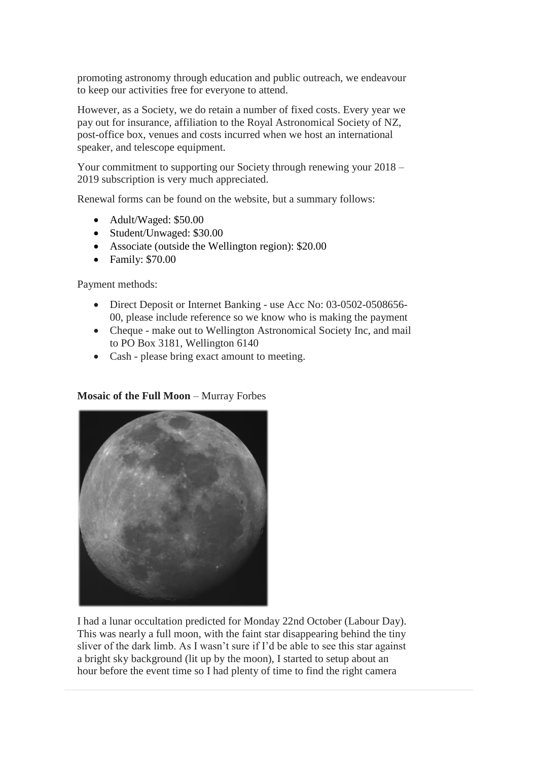promoting astronomy through education and public outreach, we endeavour to keep our activities free for everyone to attend.

However, as a Society, we do retain a number of fixed costs. Every year we pay out for insurance, affiliation to the Royal Astronomical Society of NZ, post-office box, venues and costs incurred when we host an international speaker, and telescope equipment.

Your commitment to supporting our Society through renewing your 2018 – 2019 subscription is very much appreciated.

Renewal forms can be found on the website, but a summary follows:

- Adult/Waged: \$50.00
- Student/Unwaged: \$30.00
- Associate (outside the Wellington region): \$20.00
- Family: \$70.00

Payment methods:

- Direct Deposit or Internet Banking use Acc No: 03-0502-0508656-00, please include reference so we know who is making the payment
- Cheque make out to Wellington Astronomical Society Inc, and mail to PO Box 3181, Wellington 6140
- Cash please bring exact amount to meeting.

#### **Mosaic of the Full Moon** – Murray Forbes



I had a lunar occultation predicted for Monday 22nd October (Labour Day). This was nearly a full moon, with the faint star disappearing behind the tiny sliver of the dark limb. As I wasn't sure if I'd be able to see this star against a bright sky background (lit up by the moon), I started to setup about an hour before the event time so I had plenty of time to find the right camera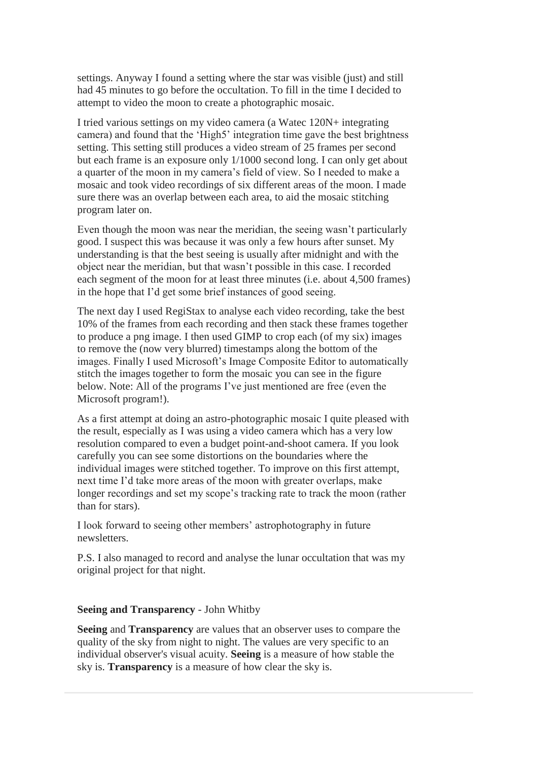settings. Anyway I found a setting where the star was visible (just) and still had 45 minutes to go before the occultation. To fill in the time I decided to attempt to video the moon to create a photographic mosaic.

I tried various settings on my video camera (a Watec 120N+ integrating camera) and found that the 'High5' integration time gave the best brightness setting. This setting still produces a video stream of 25 frames per second but each frame is an exposure only 1/1000 second long. I can only get about a quarter of the moon in my camera's field of view. So I needed to make a mosaic and took video recordings of six different areas of the moon. I made sure there was an overlap between each area, to aid the mosaic stitching program later on.

Even though the moon was near the meridian, the seeing wasn't particularly good. I suspect this was because it was only a few hours after sunset. My understanding is that the best seeing is usually after midnight and with the object near the meridian, but that wasn't possible in this case. I recorded each segment of the moon for at least three minutes (i.e. about 4,500 frames) in the hope that I'd get some brief instances of good seeing.

The next day I used RegiStax to analyse each video recording, take the best 10% of the frames from each recording and then stack these frames together to produce a png image. I then used GIMP to crop each (of my six) images to remove the (now very blurred) timestamps along the bottom of the images. Finally I used Microsoft's Image Composite Editor to automatically stitch the images together to form the mosaic you can see in the figure below. Note: All of the programs I've just mentioned are free (even the Microsoft program!).

As a first attempt at doing an astro-photographic mosaic I quite pleased with the result, especially as I was using a video camera which has a very low resolution compared to even a budget point-and-shoot camera. If you look carefully you can see some distortions on the boundaries where the individual images were stitched together. To improve on this first attempt, next time I'd take more areas of the moon with greater overlaps, make longer recordings and set my scope's tracking rate to track the moon (rather than for stars).

I look forward to seeing other members' astrophotography in future newsletters.

P.S. I also managed to record and analyse the lunar occultation that was my original project for that night.

#### **Seeing and Transparency** - John Whitby

**Seeing** and **Transparency** are values that an observer uses to compare the quality of the sky from night to night. The values are very specific to an individual observer's visual acuity. **Seeing** is a measure of how stable the sky is. **Transparency** is a measure of how clear the sky is.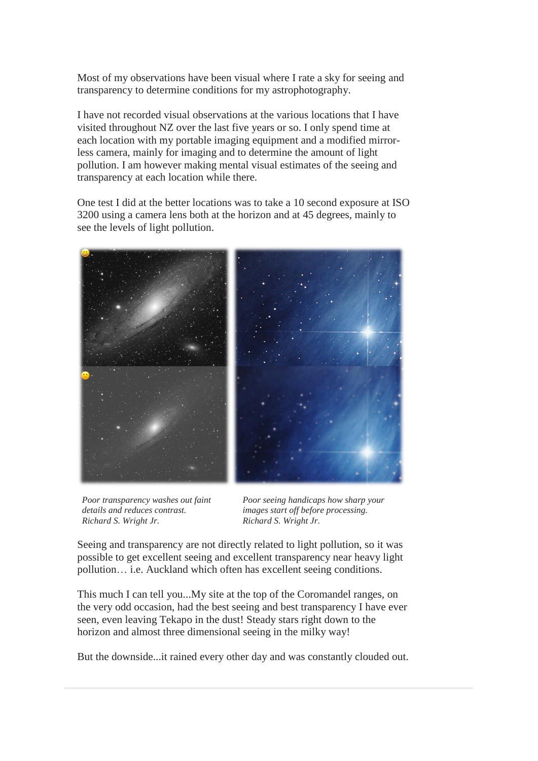Most of my observations have been visual where I rate a sky for seeing and transparency to determine conditions for my astrophotography.

I have not recorded visual observations at the various locations that I have visited throughout NZ over the last five years or so. I only spend time at each location with my portable imaging equipment and a modified mirrorless camera, mainly for imaging and to determine the amount of light pollution. I am however making mental visual estimates of the seeing and transparency at each location while there.

One test I did at the better locations was to take a 10 second exposure at ISO 3200 using a camera lens both at the horizon and at 45 degrees, mainly to see the levels of light pollution.



*Poor transparency washes out faint details and reduces contrast. Richard S. Wright Jr.*

*Poor seeing handicaps how sharp your images start off before processing. Richard S. Wright Jr.*

Seeing and transparency are not directly related to light pollution, so it was possible to get excellent seeing and excellent transparency near heavy light pollution… i.e. Auckland which often has excellent seeing conditions.

This much I can tell you...My site at the top of the Coromandel ranges, on the very odd occasion, had the best seeing and best transparency I have ever seen, even leaving Tekapo in the dust! Steady stars right down to the horizon and almost three dimensional seeing in the milky way!

But the downside...it rained every other day and was constantly clouded out.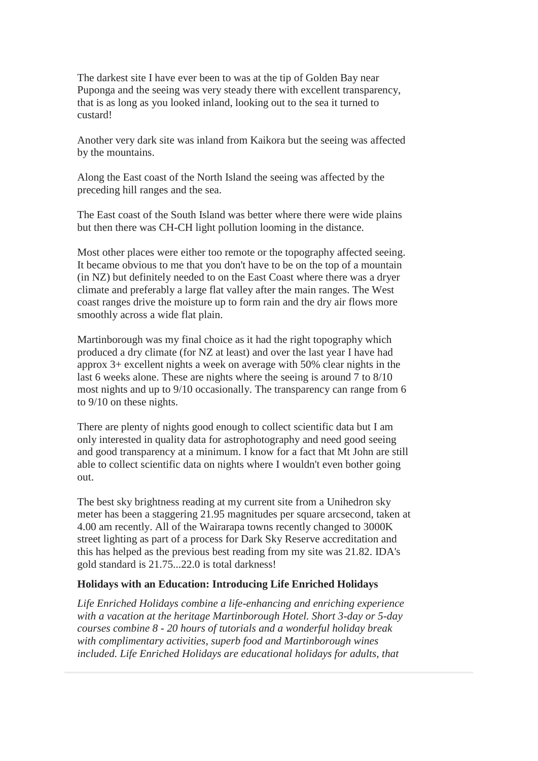The darkest site I have ever been to was at the tip of Golden Bay near Puponga and the seeing was very steady there with excellent transparency, that is as long as you looked inland, looking out to the sea it turned to custard!

Another very dark site was inland from Kaikora but the seeing was affected by the mountains.

Along the East coast of the North Island the seeing was affected by the preceding hill ranges and the sea.

The East coast of the South Island was better where there were wide plains but then there was CH-CH light pollution looming in the distance.

Most other places were either too remote or the topography affected seeing. It became obvious to me that you don't have to be on the top of a mountain (in NZ) but definitely needed to on the East Coast where there was a dryer climate and preferably a large flat valley after the main ranges. The West coast ranges drive the moisture up to form rain and the dry air flows more smoothly across a wide flat plain.

Martinborough was my final choice as it had the right topography which produced a dry climate (for NZ at least) and over the last year I have had approx 3+ excellent nights a week on average with 50% clear nights in the last 6 weeks alone. These are nights where the seeing is around 7 to 8/10 most nights and up to 9/10 occasionally. The transparency can range from 6 to 9/10 on these nights.

There are plenty of nights good enough to collect scientific data but I am only interested in quality data for astrophotography and need good seeing and good transparency at a minimum. I know for a fact that Mt John are still able to collect scientific data on nights where I wouldn't even bother going out.

The best sky brightness reading at my current site from a Unihedron sky meter has been a staggering 21.95 magnitudes per square arcsecond, taken at 4.00 am recently. All of the Wairarapa towns recently changed to 3000K street lighting as part of a process for Dark Sky Reserve accreditation and this has helped as the previous best reading from my site was 21.82. IDA's gold standard is 21.75...22.0 is total darkness!

#### **Holidays with an Education: Introducing Life Enriched Holidays**

*Life Enriched Holidays combine a life-enhancing and enriching experience with a vacation at the heritage Martinborough Hotel. Short 3-day or 5-day courses combine 8 - 20 hours of tutorials and a wonderful holiday break with complimentary activities, superb food and Martinborough wines included. Life Enriched Holidays are educational holidays for adults, that*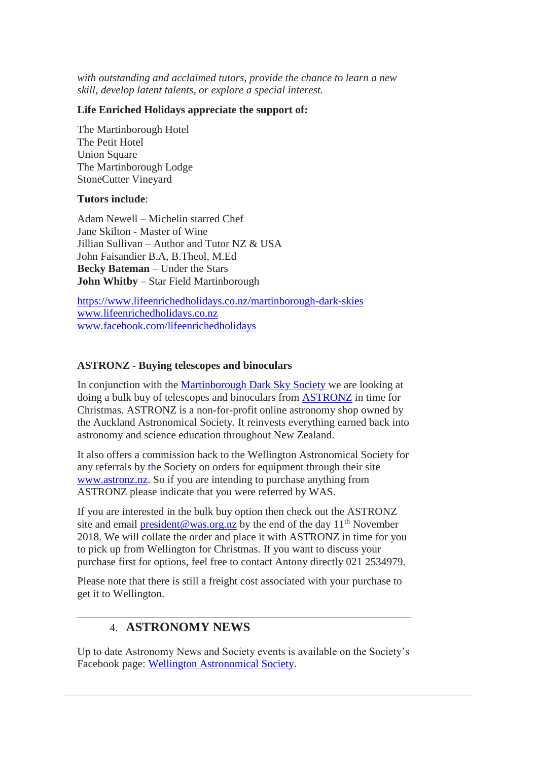*with outstanding and acclaimed tutors, provide the chance to learn a new skill, develop latent talents, or explore a special interest.*

#### **Life Enriched Holidays appreciate the support of:**

The Martinborough Hotel The Petit Hotel **Union Square** The Martinborough Lodge StoneCutter Vineyard

#### **Tutors include**:

Adam Newell – Michelin starred Chef Jane Skilton - Master of Wine Jillian Sullivan – Author and Tutor NZ & USA John Faisandier B.A, B.Theol, M.Ed **Becky Bateman** – Under the Stars **John Whitby** – Star Field Martinborough

<https://www.lifeenrichedholidays.co.nz/martinborough-dark-skies> [www.lifeenrichedholidays.co.nz](http://www.lifeenrichedholidays.co.nz/) [www.facebook.com/lifeenrichedholidays](http://www.facebook.com/lifeenrichedholidays)

#### **ASTRONZ - Buying telescopes and binoculars**

In conjunction with the [Martinborough Dark Sky Society](https://martinboroughdarksky.org/) we are looking at doing a bulk buy of telescopes and binoculars from [ASTRONZ](https://www.astronz.nz/shop/) in time for Christmas. ASTRONZ is a non-for-profit online astronomy shop owned by the Auckland Astronomical Society. It reinvests everything earned back into astronomy and science education throughout New Zealand.

It also offers a commission back to the Wellington Astronomical Society for any referrals by the Society on orders for equipment through their site [www.astronz.nz.](http://www.astronz.nz/) So if you are intending to purchase anything from ASTRONZ please indicate that you were referred by WAS.

If you are interested in the bulk buy option then check out the ASTRONZ site and email [president@was.org.nz](mailto:president@was.org.nz) by the end of the day  $11<sup>th</sup>$  November 2018. We will collate the order and place it with ASTRONZ in time for you to pick up from Wellington for Christmas. If you want to discuss your purchase first for options, feel free to contact Antony directly 021 2534979.

Please note that there is still a freight cost associated with your purchase to get it to Wellington.

## 4. **ASTRONOMY NEWS**

Up to date Astronomy News and Society events is available on the Society's Facebook page: [Wellington Astronomical Society.](http://www.facebook.com/WellingtonAstronomicalSociety/)